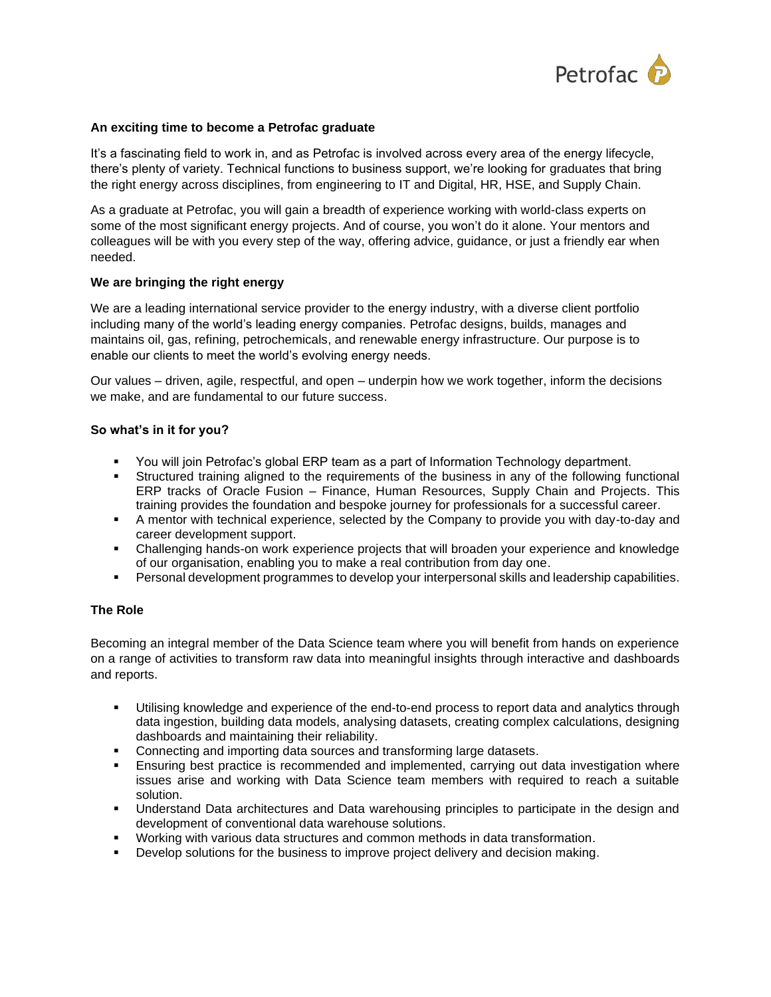

### **An exciting time to become a Petrofac graduate**

It's a fascinating field to work in, and as Petrofac is involved across every area of the energy lifecycle, there's plenty of variety. Technical functions to business support, we're looking for graduates that bring the right energy across disciplines, from engineering to IT and Digital, HR, HSE, and Supply Chain.

As a graduate at Petrofac, you will gain a breadth of experience working with world-class experts on some of the most significant energy projects. And of course, you won't do it alone. Your mentors and colleagues will be with you every step of the way, offering advice, guidance, or just a friendly ear when needed.

### **We are bringing the right energy**

We are a leading international service provider to the energy industry, with a diverse client portfolio including many of the world's leading energy companies. Petrofac designs, builds, manages and maintains oil, gas, refining, petrochemicals, and renewable energy infrastructure. Our purpose is to enable our clients to meet the world's evolving energy needs.

Our values – driven, agile, respectful, and open – underpin how we work together, inform the decisions we make, and are fundamental to our future success.

### **So what's in it for you?**

- You will join Petrofac's global ERP team as a part of Information Technology department.
- **•** Structured training aligned to the requirements of the business in any of the following functional ERP tracks of Oracle Fusion – Finance, Human Resources, Supply Chain and Projects. This training provides the foundation and bespoke journey for professionals for a successful career.
- **•** A mentor with technical experience, selected by the Company to provide you with day-to-day and career development support.
- Challenging hands-on work experience projects that will broaden your experience and knowledge of our organisation, enabling you to make a real contribution from day one.
- **•** Personal development programmes to develop your interpersonal skills and leadership capabilities.

## **The Role**

Becoming an integral member of the Data Science team where you will benefit from hands on experience on a range of activities to transform raw data into meaningful insights through interactive and dashboards and reports.

- Utilising knowledge and experience of the end-to-end process to report data and analytics through data ingestion, building data models, analysing datasets, creating complex calculations, designing dashboards and maintaining their reliability.
- Connecting and importing data sources and transforming large datasets.
- **Ensuring best practice is recommended and implemented, carrying out data investigation where** issues arise and working with Data Science team members with required to reach a suitable solution.
- Understand Data architectures and Data warehousing principles to participate in the design and development of conventional data warehouse solutions.
- Working with various data structures and common methods in data transformation.
- **•** Develop solutions for the business to improve project delivery and decision making.